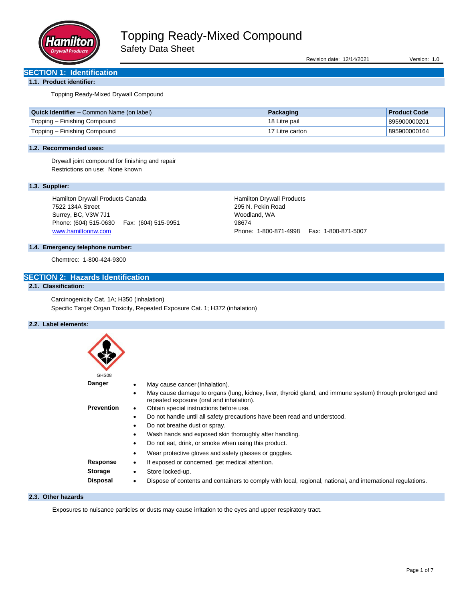

Revision date: 12/14/2021 Version: 1.0

# **SECTION 1: Identification**

## **1.1. Product identifier:**

Topping Ready-Mixed Drywall Compound

| <b>Quick Identifier – Common Name (on label)</b> | Packaging       | <b>Product Code</b> |
|--------------------------------------------------|-----------------|---------------------|
| Topping – Finishing Compound                     | 18 Litre pail   | 895900000201        |
| ' Topping – Finishing Compound                   | 17 Litre carton | 895900000164        |

### **1.2. Recommended uses:**

Drywall joint compound for finishing and repair Restrictions on use: None known

## **1.3. Supplier:**

Hamilton Drywall Products Canada 7522 134A Street Surrey, BC, V3W 7J1 Phone: (604) 515-0630 Fax: (604) 515-9951 [www.hamiltonnw.com](http://www.hamiltonnw.com/)

Hamilton Drywall Products 295 N. Pekin Road Woodland, WA 98674 Phone: 1-800-871-4998 Fax: 1-800-871-5007

## **1.4. Emergency telephone number:**

Chemtrec: 1-800-424-9300

# **SECTION 2: Hazards Identification**

# **2.1. Classification:**

Carcinogenicity Cat. 1A; H350 (inhalation) Specific Target Organ Toxicity, Repeated Exposure Cat. 1; H372 (inhalation)

## **2.2. Label elements:**

| GHS08             |           |                                                                                                                                                      |
|-------------------|-----------|------------------------------------------------------------------------------------------------------------------------------------------------------|
| <b>Danger</b>     |           | May cause cancer (Inhalation).                                                                                                                       |
|                   | ٠         | May cause damage to organs (lung, kidney, liver, thyroid gland, and immune system) through prolonged and<br>repeated exposure (oral and inhalation). |
| <b>Prevention</b> | ٠         | Obtain special instructions before use.                                                                                                              |
|                   | ٠         | Do not handle until all safety precautions have been read and understood.                                                                            |
|                   | $\bullet$ | Do not breathe dust or spray.                                                                                                                        |
|                   | ٠         | Wash hands and exposed skin thoroughly after handling.                                                                                               |
|                   | ٠         | Do not eat, drink, or smoke when using this product.                                                                                                 |
|                   | ٠         | Wear protective gloves and safety glasses or goggles.                                                                                                |
| Response          | ٠         | If exposed or concerned, get medical attention.                                                                                                      |
| <b>Storage</b>    | ٠         | Store locked-up.                                                                                                                                     |
| <b>Disposal</b>   | ٠         | Dispose of contents and containers to comply with local, regional, national, and international regulations.                                          |

### **2.3. Other hazards**

Exposures to nuisance particles or dusts may cause irritation to the eyes and upper respiratory tract.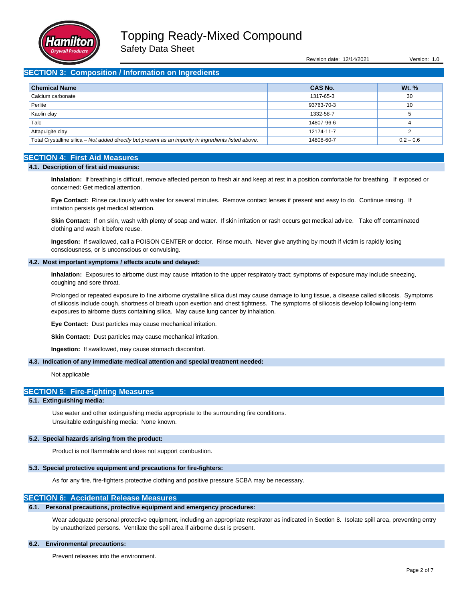

Revision date: 12/14/2021 Version: 1.0

## **SECTION 3: Composition / Information on Ingredients**

| <b>Chemical Name</b>                                                                                  | <b>CAS No.</b> | <u>Wt. %</u> |
|-------------------------------------------------------------------------------------------------------|----------------|--------------|
| Calcium carbonate                                                                                     | 1317-65-3      | 30           |
| Perlite                                                                                               | 93763-70-3     | 10           |
| Kaolin clay                                                                                           | 1332-58-7      |              |
| Talc                                                                                                  | 14807-96-6     |              |
| Attapulgite clay                                                                                      | 12174-11-7     |              |
| Total Crystalline silica - Not added directly but present as an impurity in ingredients listed above. | 14808-60-7     | $0.2 - 0.6$  |

## **SECTION 4: First Aid Measures**

### **4.1. Description of first aid measures:**

**Inhalation:** If breathing is difficult, remove affected person to fresh air and keep at rest in a position comfortable for breathing. If exposed or concerned: Get medical attention.

**Eye Contact:** Rinse cautiously with water for several minutes. Remove contact lenses if present and easy to do. Continue rinsing. If irritation persists get medical attention.

**Skin Contact:** If on skin, wash with plenty of soap and water. If skin irritation or rash occurs get medical advice. Take off contaminated clothing and wash it before reuse.

**Ingestion:** If swallowed, call a POISON CENTER or doctor. Rinse mouth. Never give anything by mouth if victim is rapidly losing consciousness, or is unconscious or convulsing.

### **4.2. Most important symptoms / effects acute and delayed:**

**Inhalation:** Exposures to airborne dust may cause irritation to the upper respiratory tract; symptoms of exposure may include sneezing, coughing and sore throat.

Prolonged or repeated exposure to fine airborne crystalline silica dust may cause damage to lung tissue, a disease called silicosis. Symptoms of silicosis include cough, shortness of breath upon exertion and chest tightness. The symptoms of silicosis develop following long-term exposures to airborne dusts containing silica. May cause lung cancer by inhalation.

**Eye Contact:** Dust particles may cause mechanical irritation.

**Skin Contact:** Dust particles may cause mechanical irritation.

**Ingestion:** If swallowed, may cause stomach discomfort.

#### **4.3. Indication of any immediate medical attention and special treatment needed:**

Not applicable

### **SECTION 5: Fire-Fighting Measures**

### **5.1. Extinguishing media:**

Use water and other extinguishing media appropriate to the surrounding fire conditions. Unsuitable extinguishing media: None known.

### **5.2. Special hazards arising from the product:**

Product is not flammable and does not support combustion.

## **5.3. Special protective equipment and precautions for fire-fighters:**

As for any fire, fire-fighters protective clothing and positive pressure SCBA may be necessary.

## **SECTION 6: Accidental Release Measures**

#### **6.1. Personal precautions, protective equipment and emergency procedures:**

Wear adequate personal protective equipment, including an appropriate respirator as indicated in Section 8. Isolate spill area, preventing entry by unauthorized persons. Ventilate the spill area if airborne dust is present.

### **6.2. Environmental precautions:**

Prevent releases into the environment.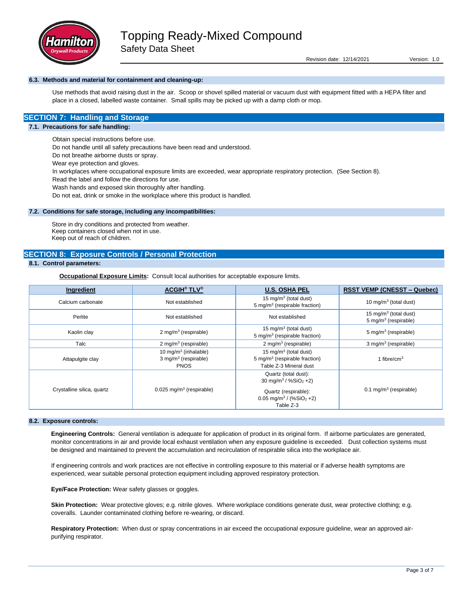

Revision date: 12/14/2021 Version: 1.0

### **6.3. Methods and material for containment and cleaning-up:**

Use methods that avoid raising dust in the air. Scoop or shovel spilled material or vacuum dust with equipment fitted with a HEPA filter and place in a closed, labelled waste container. Small spills may be picked up with a damp cloth or mop.

## **SECTION 7: Handling and Storage**

## **7.1. Precautions for safe handling:**

Obtain special instructions before use.

Do not handle until all safety precautions have been read and understood.

Do not breathe airborne dusts or spray.

Wear eye protection and gloves.

In workplaces where occupational exposure limits are exceeded, wear appropriate respiratory protection. (See Section 8).

Read the label and follow the directions for use.

Wash hands and exposed skin thoroughly after handling.

Do not eat, drink or smoke in the workplace where this product is handled.

#### **7.2. Conditions for safe storage, including any incompatibilities:**

Store in dry conditions and protected from weather. Keep containers closed when not in use. Keep out of reach of children.

## **SECTION 8: Exposure Controls / Personal Protection**

## **8.1. Control parameters:**

**Occupational Exposure Limits:** Consult local authorities for acceptable exposure limits.

| Ingredient                 | <b>ACGIH<sup>®</sup> TLV<sup>®</sup></b>                                   | <b>U.S. OSHA PEL</b>                                                                                       | <b>RSST VEMP (CNESST – Quebec)</b>                                   |
|----------------------------|----------------------------------------------------------------------------|------------------------------------------------------------------------------------------------------------|----------------------------------------------------------------------|
| Calcium carbonate          | Not established                                                            | 15 mg/m <sup>3</sup> (total dust)<br>5 mg/m <sup>3</sup> (respirable fraction)                             | 10 mg/m $3$ (total dust)                                             |
| Perlite                    | Not established                                                            | Not established                                                                                            | 15 mg/m <sup>3</sup> (total dust)<br>$5 \text{ mg/m}^3$ (respirable) |
| Kaolin clay                | 2 mg/m <sup>3</sup> (respirable)                                           | 15 mg/m <sup>3</sup> (total dust)<br>$5 \,\mathrm{mg/m^3}$ (respirable fraction)                           | 5 mg/m <sup>3</sup> (respirable)                                     |
| Talc                       | 2 mg/m <sup>3</sup> (respirable)                                           | 2 mg/m <sup>3</sup> (respirable)                                                                           | 3 mg/m <sup>3</sup> (respirable)                                     |
| Attapulgite clay           | 10 mg/m $3$ (inhalable)<br>3 mg/m <sup>3</sup> (respirable)<br><b>PNOS</b> | 15 mg/m <sup>3</sup> (total dust)<br>$5 \,\mathrm{mg/m^3}$ (respirable fraction)<br>Table Z-3 Mineral dust | 1 fibre/ $cm3$                                                       |
|                            |                                                                            | Quartz (total dust):<br>30 mg/m <sup>3</sup> / $%SiO2 +2)$                                                 |                                                                      |
| Crystalline silica, quartz | $0.025$ mg/m <sup>3</sup> (respirable)                                     | Quartz (respirable):<br>$0.05$ mg/m <sup>3</sup> / (%SiO <sub>2</sub> +2)<br>Table Z-3                     | 0.1 mg/m <sup>3</sup> (respirable)                                   |

### **8.2. Exposure controls:**

**Engineering Controls:** General ventilation is adequate for application of product in its original form. If airborne particulates are generated, monitor concentrations in air and provide local exhaust ventilation when any exposure guideline is exceeded. Dust collection systems must be designed and maintained to prevent the accumulation and recirculation of respirable silica into the workplace air.

If engineering controls and work practices are not effective in controlling exposure to this material or if adverse health symptoms are experienced, wear suitable personal protection equipment including approved respiratory protection.

**Eye/Face Protection:** Wear safety glasses or goggles.

Skin Protection: Wear protective gloves; e.g. nitrile gloves. Where workplace conditions generate dust, wear protective clothing; e.g. coveralls. Launder contaminated clothing before re-wearing, or discard.

**Respiratory Protection:** When dust or spray concentrations in air exceed the occupational exposure guideline, wear an approved airpurifying respirator.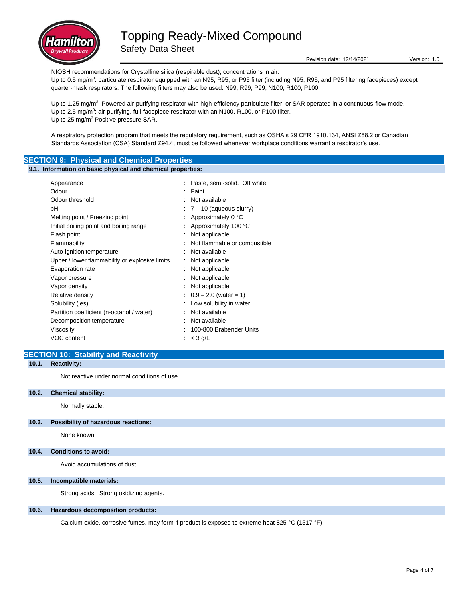

Revision date: 12/14/2021 Version: 1.0

NIOSH recommendations for Crystalline silica (respirable dust); concentrations in air: Up to 0.5 mg/m<sup>3</sup>: particulate respirator equipped with an N95, R95, or P95 filter (including N95, R95, and P95 filtering facepieces) except quarter-mask respirators. The following filters may also be used: N99, R99, P99, N100, R100, P100.

Up to 1.25 mg/m<sup>3</sup>: Powered air-purifying respirator with high-efficiency particulate filter; or SAR operated in a continuous-flow mode. Up to 2.5 mg/m<sup>3</sup>: air-purifying, full-facepiece respirator with an N100, R100, or P100 filter. Up to 25 mg/m<sup>3</sup> Positive pressure SAR.

A respiratory protection program that meets the regulatory requirement, such as OSHA's 29 CFR 1910.134, ANSI Z88.2 or Canadian Standards Association (CSA) Standard Z94.4, must be followed whenever workplace conditions warrant a respirator's use.

## **SECTION 9: Physical and Chemical Properties**

### **9.1. Information on basic physical and chemical properties:**

| Appearance                                     | Paste, semi-solid. Off white   |
|------------------------------------------------|--------------------------------|
| Odour                                          | Faint                          |
| Odour threshold                                | Not available                  |
| рH                                             | $\div$ 7 – 10 (aqueous slurry) |
| Melting point / Freezing point                 | Approximately 0 °C             |
| Initial boiling point and boiling range        | Approximately 100 °C           |
| Flash point                                    | Not applicable                 |
| Flammability                                   | Not flammable or combustible   |
| Auto-ignition temperature                      | Not available                  |
| Upper / lower flammability or explosive limits | Not applicable                 |
| Evaporation rate                               | Not applicable                 |
| Vapor pressure                                 | Not applicable                 |
| Vapor density                                  | Not applicable                 |
| Relative density                               | $0.9 - 2.0$ (water = 1)        |
| Solubility (ies)                               | Low solubility in water        |
| Partition coefficient (n-octanol / water)      | Not available                  |
| Decomposition temperature                      | Not available                  |
| Viscosity                                      | 100-800 Brabender Units        |
| VOC content                                    | $<$ 3 g/L                      |
|                                                |                                |

## **SECTION 10: Stability and Reactivity**

# **10.1. Reactivity:**

Not reactive under normal conditions of use.

### **10.2. Chemical stability:**

Normally stable.

### **10.3. Possibility of hazardous reactions:**

None known.

## **10.4. Conditions to avoid:**

Avoid accumulations of dust.

### **10.5. Incompatible materials:**

Strong acids. Strong oxidizing agents.

## **10.6. Hazardous decomposition products:**

Calcium oxide, corrosive fumes, may form if product is exposed to extreme heat 825 °C (1517 °F).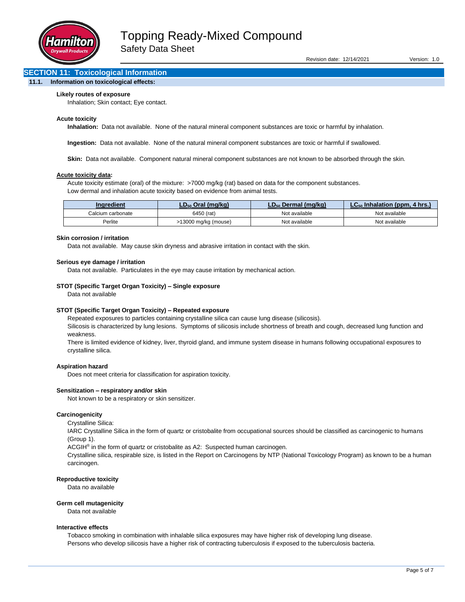

## **SECTION 11: Toxicological Information**

### **11.1. Information on toxicological effects:**

#### **Likely routes of exposure**

Inhalation; Skin contact; Eye contact.

#### **Acute toxicity**

**Inhalation:** Data not available. None of the natural mineral component substances are toxic or harmful by inhalation.

**Ingestion:** Data not available. None of the natural mineral component substances are toxic or harmful if swallowed.

**Skin:** Data not available. Component natural mineral component substances are not known to be absorbed through the skin.

#### **Acute toxicity data:**

Acute toxicity estimate (oral) of the mixture: >7000 mg/kg (rat) based on data for the component substances. Low dermal and inhalation acute toxicity based on evidence from animal tests.

| Inaredient        | . Oral (mɑ/kɑ)<br>$D_{50}$ | LD50 Dermal (mɑ/kɑ) | 4 hrs<br>Inhalation (ppm. |
|-------------------|----------------------------|---------------------|---------------------------|
| Calcium carbonate | 6450 (rat)                 | Not available       | Not available             |
| Perlite           | -13000 mg/kg (mouse)       | Not available       | Not available             |

#### **Skin corrosion / irritation**

Data not available. May cause skin dryness and abrasive irritation in contact with the skin.

#### **Serious eye damage / irritation**

Data not available. Particulates in the eye may cause irritation by mechanical action.

#### **STOT (Specific Target Organ Toxicity) – Single exposure**

Data not available

#### **STOT (Specific Target Organ Toxicity) – Repeated exposure**

Repeated exposures to particles containing crystalline silica can cause lung disease (silicosis).

Silicosis is characterized by lung lesions. Symptoms of silicosis include shortness of breath and cough, decreased lung function and weakness.

There is limited evidence of kidney, liver, thyroid gland, and immune system disease in humans following occupational exposures to crystalline silica.

### **Aspiration hazard**

Does not meet criteria for classification for aspiration toxicity.

#### **Sensitization – respiratory and/or skin**

Not known to be a respiratory or skin sensitizer.

#### **Carcinogenicity**

Crystalline Silica:

IARC Crystalline Silica in the form of quartz or cristobalite from occupational sources should be classified as carcinogenic to humans (Group 1).

ACGIH<sup>®</sup> in the form of quartz or cristobalite as A2: Suspected human carcinogen.

Crystalline silica, respirable size, is listed in the Report on Carcinogens by NTP (National Toxicology Program) as known to be a human carcinogen.

#### **Reproductive toxicity**

Data no available

#### **Germ cell mutagenicity**

Data not available

#### **Interactive effects**

Tobacco smoking in combination with inhalable silica exposures may have higher risk of developing lung disease. Persons who develop silicosis have a higher risk of contracting tuberculosis if exposed to the tuberculosis bacteria.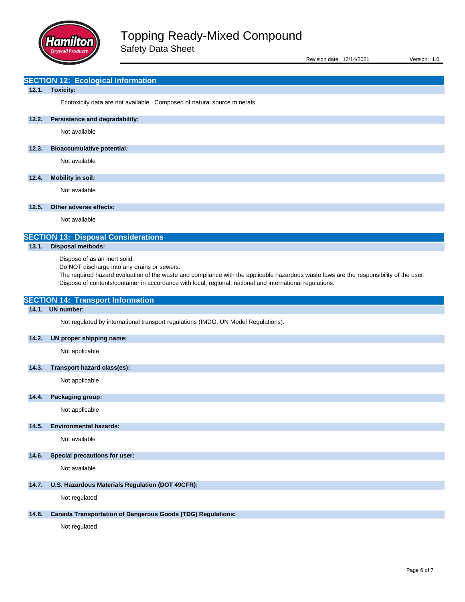

Revision date: 12/14/2021 Version: 1.0

### **SECTION 12: Ecological Information**

#### **12.1. Toxicity:**

Ecotoxicity data are not available. Composed of natural source minerals.

## **12.2. Persistence and degradability:**

Not available

#### **12.3. Bioaccumulative potential:**

Not available

### **12.4. Mobility in soil:**

Not available

### **12.5. Other adverse effects:**

Not available

## **SECTION 13: Disposal Considerations**

**13.1. Disposal methods:**

Dispose of as an inert solid.

Do NOT discharge into any drains or sewers.

The required hazard evaluation of the waste and compliance with the applicable hazardous waste laws are the responsibility of the user. Dispose of contents/container in accordance with local, regional, national and international regulations.

## **SECTION 14: Transport Information**

## **14.1. UN number:**

Not regulated by international transport regulations (IMDG, UN Model Regulations).

#### **14.2. UN proper shipping name:**

Not applicable

### **14.3. Transport hazard class(es):**

Not applicable

## **14.4. Packaging group:**

Not applicable

## **14.5. Environmental hazards:**

Not available

### **14.6. Special precautions for user:**

Not available

## **14.7. U.S. Hazardous Materials Regulation (DOT 49CFR):**

Not regulated

## **14.8. Canada Transportation of Dangerous Goods (TDG) Regulations:**

Not regulated